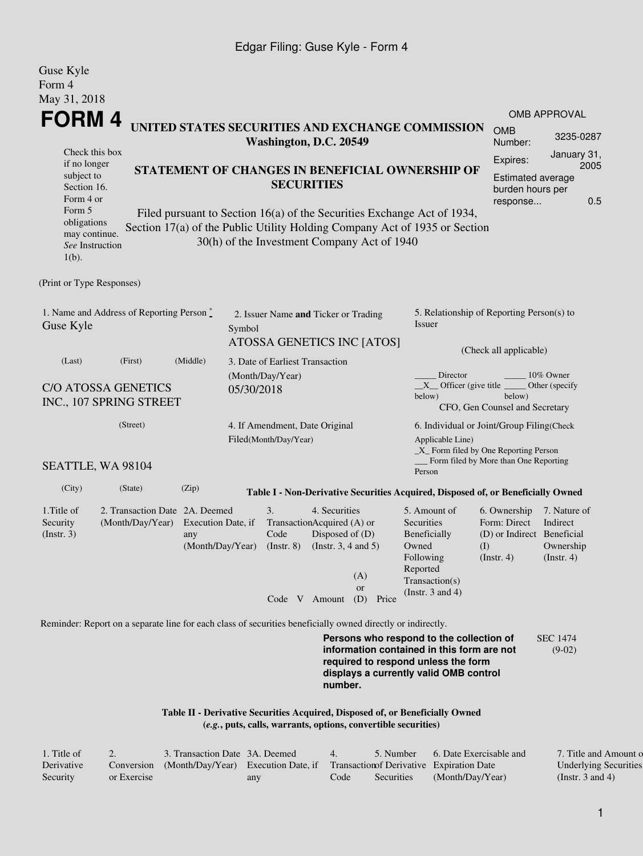#### Edgar Filing: Guse Kyle - Form 4

| Guse Kyle<br>Form 4                                                                                                                                                                                                                                                                       |                                                                                                             |                                               |                                      |                                                                                             |                                  |                                                     |                                                                                                                               |                                                                                       |                                                                     |  |  |
|-------------------------------------------------------------------------------------------------------------------------------------------------------------------------------------------------------------------------------------------------------------------------------------------|-------------------------------------------------------------------------------------------------------------|-----------------------------------------------|--------------------------------------|---------------------------------------------------------------------------------------------|----------------------------------|-----------------------------------------------------|-------------------------------------------------------------------------------------------------------------------------------|---------------------------------------------------------------------------------------|---------------------------------------------------------------------|--|--|
| May 31, 2018                                                                                                                                                                                                                                                                              |                                                                                                             |                                               |                                      |                                                                                             |                                  |                                                     |                                                                                                                               |                                                                                       |                                                                     |  |  |
| FORM 4                                                                                                                                                                                                                                                                                    |                                                                                                             |                                               |                                      |                                                                                             |                                  |                                                     | UNITED STATES SECURITIES AND EXCHANGE COMMISSION                                                                              |                                                                                       | <b>OMB APPROVAL</b>                                                 |  |  |
|                                                                                                                                                                                                                                                                                           | <b>OMB</b><br>Number:                                                                                       | 3235-0287                                     |                                      |                                                                                             |                                  |                                                     |                                                                                                                               |                                                                                       |                                                                     |  |  |
| Washington, D.C. 20549<br>Check this box<br>if no longer<br>STATEMENT OF CHANGES IN BENEFICIAL OWNERSHIP OF<br>subject to<br><b>SECURITIES</b><br>Section 16.<br>Form 4 or                                                                                                                |                                                                                                             |                                               |                                      |                                                                                             |                                  |                                                     |                                                                                                                               | Expires:                                                                              | January 31,<br>2005<br>Estimated average<br>burden hours per<br>0.5 |  |  |
| response<br>Form 5<br>Filed pursuant to Section 16(a) of the Securities Exchange Act of 1934,<br>obligations<br>Section 17(a) of the Public Utility Holding Company Act of 1935 or Section<br>may continue.<br>30(h) of the Investment Company Act of 1940<br>See Instruction<br>$1(b)$ . |                                                                                                             |                                               |                                      |                                                                                             |                                  |                                                     |                                                                                                                               |                                                                                       |                                                                     |  |  |
| (Print or Type Responses)                                                                                                                                                                                                                                                                 |                                                                                                             |                                               |                                      |                                                                                             |                                  |                                                     |                                                                                                                               |                                                                                       |                                                                     |  |  |
| Guse Kyle                                                                                                                                                                                                                                                                                 | 1. Name and Address of Reporting Person $\stackrel{*}{\text{-}}$                                            | Symbol                                        | 2. Issuer Name and Ticker or Trading |                                                                                             |                                  | 5. Relationship of Reporting Person(s) to<br>Issuer |                                                                                                                               |                                                                                       |                                                                     |  |  |
|                                                                                                                                                                                                                                                                                           |                                                                                                             |                                               |                                      |                                                                                             |                                  | ATOSSA GENETICS INC [ATOS]                          | (Check all applicable)                                                                                                        |                                                                                       |                                                                     |  |  |
| (Middle)<br>(Last)<br>(First)<br><b>C/O ATOSSA GENETICS</b><br>INC., 107 SPRING STREET                                                                                                                                                                                                    |                                                                                                             |                                               |                                      | 3. Date of Earliest Transaction<br>(Month/Day/Year)<br>05/30/2018                           |                                  |                                                     | Director<br>10% Owner<br>$X$ Officer (give title<br>Other (specify<br>below)<br>below)<br>CFO, Gen Counsel and Secretary      |                                                                                       |                                                                     |  |  |
|                                                                                                                                                                                                                                                                                           | (Street)                                                                                                    |                                               |                                      | 4. If Amendment, Date Original<br>Filed(Month/Day/Year)                                     |                                  |                                                     | 6. Individual or Joint/Group Filing(Check<br>Applicable Line)                                                                 |                                                                                       |                                                                     |  |  |
| $\_X$ Form filed by One Reporting Person<br>Form filed by More than One Reporting<br>SEATTLE, WA 98104<br>Person                                                                                                                                                                          |                                                                                                             |                                               |                                      |                                                                                             |                                  |                                                     |                                                                                                                               |                                                                                       |                                                                     |  |  |
| (City)                                                                                                                                                                                                                                                                                    | (State)                                                                                                     | (Zip)                                         |                                      |                                                                                             |                                  |                                                     | Table I - Non-Derivative Securities Acquired, Disposed of, or Beneficially Owned                                              |                                                                                       |                                                                     |  |  |
| 1. Title of<br>Security<br>$($ Instr. 3 $)$                                                                                                                                                                                                                                               | 2. Transaction Date 2A. Deemed<br>(Month/Day/Year)                                                          | Execution Date, if<br>any<br>(Month/Day/Year) |                                      | 3.<br>TransactionAcquired (A) or<br>Code<br>(Instr. 8) (Instr. 3, 4 and 5)<br>Code V Amount | 4. Securities<br>Disposed of (D) | (A)<br><b>or</b><br>(D)<br>Price                    | 5. Amount of<br>Securities<br>Beneficially<br>Owned<br>Following<br>Reported<br>Transaction(s)<br>(Instr. $3$ and $4$ )       | 6. Ownership<br>Form: Direct<br>(D) or Indirect Beneficial<br>(I)<br>$($ Instr. 4 $)$ | 7. Nature of<br>Indirect<br>Ownership<br>$($ Instr. 4 $)$           |  |  |
|                                                                                                                                                                                                                                                                                           | Reminder: Report on a separate line for each class of securities beneficially owned directly or indirectly. |                                               |                                      |                                                                                             |                                  |                                                     |                                                                                                                               |                                                                                       |                                                                     |  |  |
|                                                                                                                                                                                                                                                                                           |                                                                                                             |                                               |                                      |                                                                                             |                                  |                                                     | Persons who respond to the collection of<br>information contained in this form are not<br>required to recoond unless the form |                                                                                       | <b>SEC 1474</b><br>$(9-02)$                                         |  |  |

**required to respond unless the form displays a currently valid OMB control number.**

#### **Table II - Derivative Securities Acquired, Disposed of, or Beneficially Owned (***e.g.***, puts, calls, warrants, options, convertible securities)**

| 1. Title of |             | 3. Transaction Date 3A. Deemed                                                           |     | $\overline{4}$ | 5. Number  | 6. Date Exercisable and | 7. Title and Amount o        |
|-------------|-------------|------------------------------------------------------------------------------------------|-----|----------------|------------|-------------------------|------------------------------|
| Derivative  |             | Conversion (Month/Day/Year) Execution Date, if Transaction of Derivative Expiration Date |     |                |            |                         | <b>Underlying Securities</b> |
| Security    | or Exercise |                                                                                          | any | Code           | Securities | (Month/Day/Year)        | (Instr. 3 and 4)             |